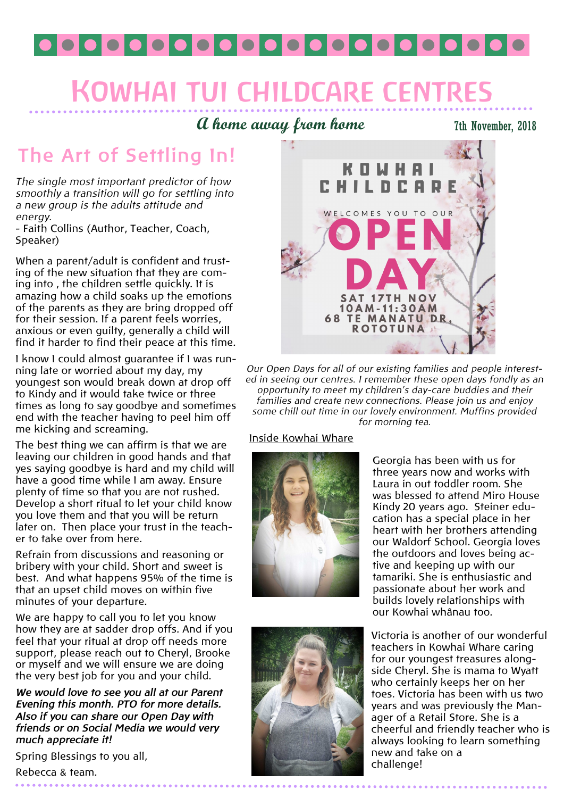

# **KOWHAI TUI CHILDCARE CENTRI**

### **A home away from home**

7th November, 2018

### **The Art of Settling In!**

*The single most important predictor of how smoothly a transition will go for settling into a new group is the adults attitude and energy.*

- Faith Collins (Author, Teacher, Coach, Speaker)

When a parent/adult is confident and trusting of the new situation that they are coming into , the children settle quickly. It is amazing how a child soaks up the emotions of the parents as they are bring dropped off for their session. If a parent feels worries, anxious or even guilty, generally a child will find it harder to find their peace at this time.

I know I could almost guarantee if I was running late or worried about my day, my youngest son would break down at drop off to Kindy and it would take twice or three times as long to say goodbye and sometimes end with the teacher having to peel him off me kicking and screaming.

The best thing we can affirm is that we are leaving our children in good hands and that yes saying goodbye is hard and my child will have a good time while I am away. Ensure plenty of time so that you are not rushed. Develop a short ritual to let your child know you love them and that you will be return later on. Then place your trust in the teacher to take over from here.

Refrain from discussions and reasoning or bribery with your child. Short and sweet is best. And what happens 95% of the time is that an upset child moves on within five minutes of your departure.

We are happy to call you to let you know how they are at sadder drop offs. And if you feel that your ritual at drop off needs more support, please reach out to Cheryl, Brooke or myself and we will ensure we are doing the very best job for you and your child.

*We would love to see you all at our Parent Evening this month. PTO for more details. Also if you can share our Open Day with friends or on Social Media we would very much appreciate it!*

Spring Blessings to you all,

Rebecca & team.



*Our Open Days for all of our existing families and people interested in seeing our centres. I remember these open days fondly as an opportunity to meet my children's day-care buddies and their families and create new connections. Please join us and enjoy some chill out time in our lovely environment. Muffins provided for morning tea.* 

#### Inside Kowhai Whare





Georgia has been with us for three years now and works with Laura in out toddler room. She was blessed to attend Miro House Kindy 20 years ago. Steiner education has a special place in her heart with her brothers attending our Waldorf School. Georgia loves the outdoors and loves being active and keeping up with our tamariki. She is enthusiastic and passionate about her work and builds lovely relationships with our Kowhai whânau too.

Victoria is another of our wonderful teachers in Kowhai Whare caring for our youngest treasures alongside Cheryl. She is mama to Wyatt who certainly keeps her on her toes. Victoria has been with us two years and was previously the Manager of a Retail Store. She is a cheerful and friendly teacher who is always looking to learn something new and take on a challenge!